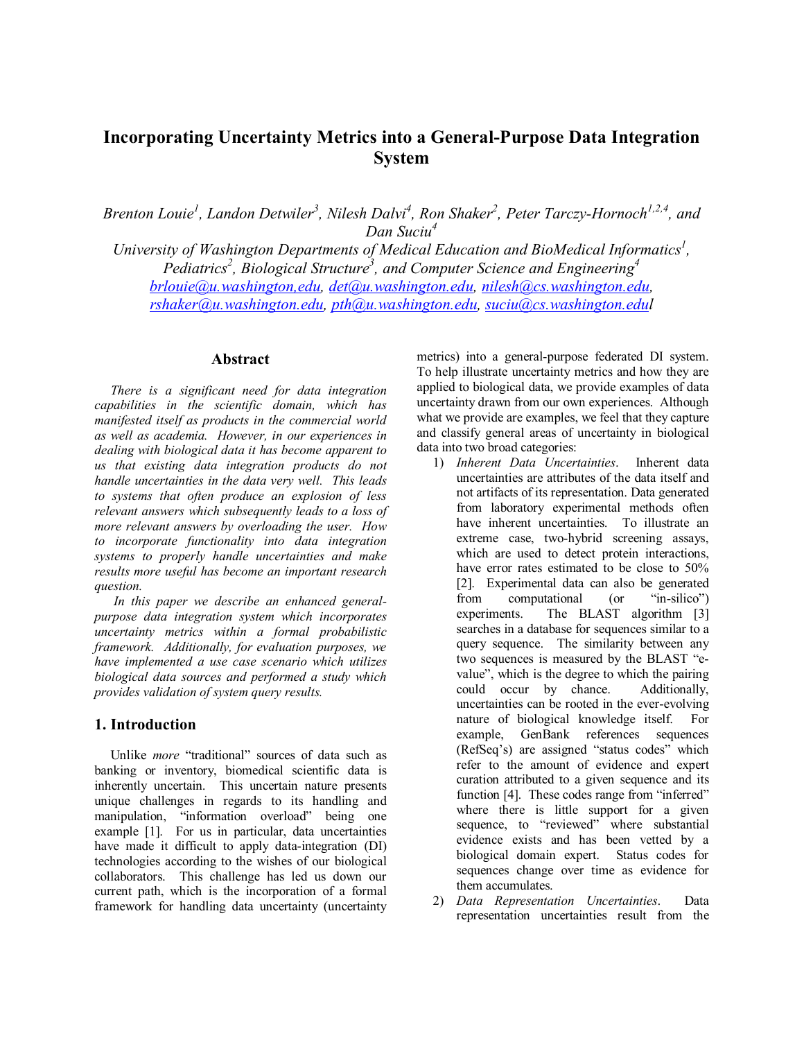# **Incorporating Uncertainty Metrics into a General-Purpose Data Integration System**

Brenton Louie<sup>1</sup>, Landon Detwiler<sup>3</sup>, Nilesh Dalvi<sup>4</sup>, Ron Shaker<sup>2</sup>, Peter Tarczy-Hornoch<sup>1,2,4</sup>, and *Dan Suciu4* 

University of Washington Departments of Medical Education and BioMedical Informatics<sup>1</sup>,  $P$ ediatrics<sup>2</sup>, Biological Structure<sup>3</sup>, and Computer Science and Engineering<sup>4</sup> *brlouie@u.washington,edu, det@u.washington.edu, nilesh@cs.washington.edu, rshaker@u.washington.edu, pth@u.washington.edu, suciu@cs.washington.edul* 

#### **Abstract**

*There is a significant need for data integration capabilities in the scientific domain, which has manifested itself as products in the commercial world as well as academia. However, in our experiences in dealing with biological data it has become apparent to us that existing data integration products do not handle uncertainties in the data very well. This leads to systems that often produce an explosion of less relevant answers which subsequently leads to a loss of more relevant answers by overloading the user. How to incorporate functionality into data integration systems to properly handle uncertainties and make results more useful has become an important research question.* 

 *In this paper we describe an enhanced generalpurpose data integration system which incorporates uncertainty metrics within a formal probabilistic framework. Additionally, for evaluation purposes, we have implemented a use case scenario which utilizes biological data sources and performed a study which provides validation of system query results.* 

#### **1. Introduction**

Unlike *more* "traditional" sources of data such as banking or inventory, biomedical scientific data is inherently uncertain. This uncertain nature presents unique challenges in regards to its handling and manipulation, "information overload" being one example [1]. For us in particular, data uncertainties have made it difficult to apply data-integration (DI) technologies according to the wishes of our biological collaborators. This challenge has led us down our current path, which is the incorporation of a formal framework for handling data uncertainty (uncertainty

metrics) into a general-purpose federated DI system. To help illustrate uncertainty metrics and how they are applied to biological data, we provide examples of data uncertainty drawn from our own experiences. Although what we provide are examples, we feel that they capture and classify general areas of uncertainty in biological data into two broad categories:

- 1) *Inherent Data Uncertainties*. Inherent data uncertainties are attributes of the data itself and not artifacts of its representation. Data generated from laboratory experimental methods often have inherent uncertainties. To illustrate an extreme case, two-hybrid screening assays, which are used to detect protein interactions, have error rates estimated to be close to 50% [2]. Experimental data can also be generated from computational (or "in-silico") experiments. The BLAST algorithm [3] searches in a database for sequences similar to a query sequence. The similarity between any two sequences is measured by the BLAST "evalue", which is the degree to which the pairing could occur by chance. Additionally, uncertainties can be rooted in the ever-evolving nature of biological knowledge itself. For example, GenBank references sequences (RefSeq's) are assigned "status codes" which refer to the amount of evidence and expert curation attributed to a given sequence and its function [4]. These codes range from "inferred" where there is little support for a given sequence, to "reviewed" where substantial evidence exists and has been vetted by a biological domain expert. Status codes for sequences change over time as evidence for them accumulates.
- 2) *Data Representation Uncertainties*. Data representation uncertainties result from the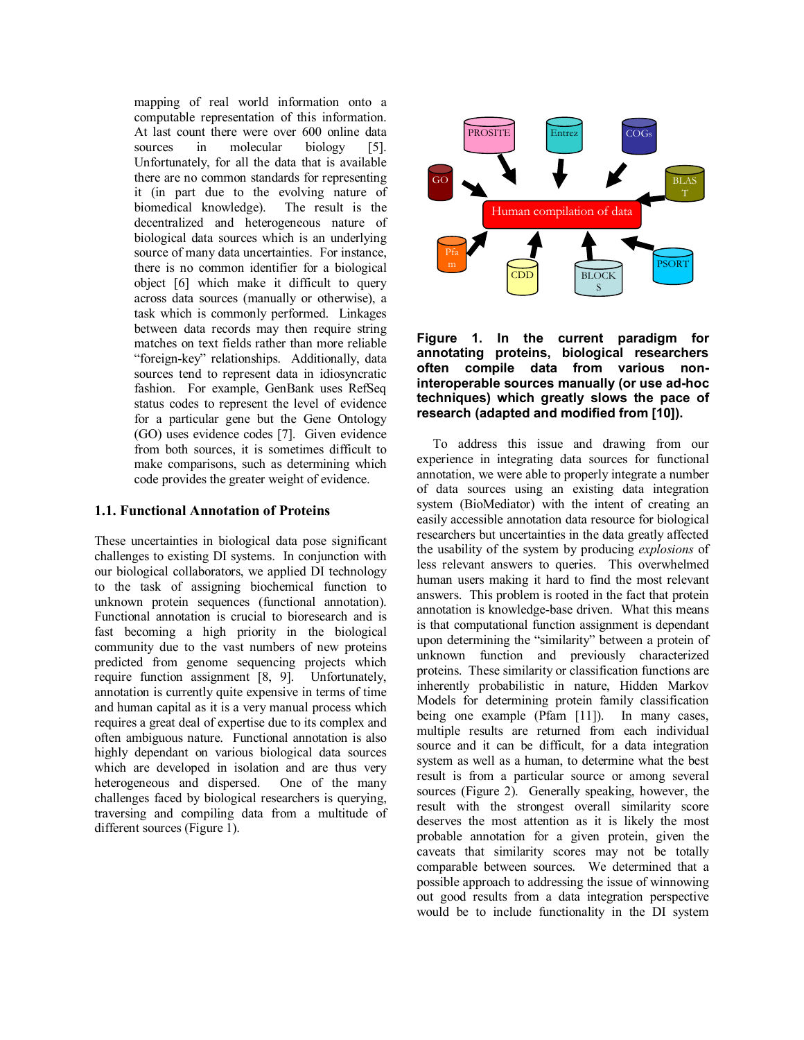mapping of real world information onto a computable representation of this information. At last count there were over 600 online data sources in molecular biology [5]. Unfortunately, for all the data that is available there are no common standards for representing it (in part due to the evolving nature of biomedical knowledge). The result is the decentralized and heterogeneous nature of biological data sources which is an underlying source of many data uncertainties. For instance, there is no common identifier for a biological object [6] which make it difficult to query across data sources (manually or otherwise), a task which is commonly performed. Linkages between data records may then require string matches on text fields rather than more reliable "foreign-key" relationships. Additionally, data sources tend to represent data in idiosyncratic fashion. For example, GenBank uses RefSeq status codes to represent the level of evidence for a particular gene but the Gene Ontology (GO) uses evidence codes [7]. Given evidence from both sources, it is sometimes difficult to make comparisons, such as determining which code provides the greater weight of evidence.

#### **1.1. Functional Annotation of Proteins**

These uncertainties in biological data pose significant challenges to existing DI systems. In conjunction with our biological collaborators, we applied DI technology to the task of assigning biochemical function to unknown protein sequences (functional annotation). Functional annotation is crucial to bioresearch and is fast becoming a high priority in the biological community due to the vast numbers of new proteins predicted from genome sequencing projects which require function assignment [8, 9]. Unfortunately, annotation is currently quite expensive in terms of time and human capital as it is a very manual process which requires a great deal of expertise due to its complex and often ambiguous nature. Functional annotation is also highly dependant on various biological data sources which are developed in isolation and are thus very heterogeneous and dispersed. One of the many challenges faced by biological researchers is querying, traversing and compiling data from a multitude of different sources (Figure 1).



#### **Figure 1. In the current paradigm for annotating proteins, biological researchers often compile data from various noninteroperable sources manually (or use ad-hoc techniques) which greatly slows the pace of research (adapted and modified from [10]).**

To address this issue and drawing from our experience in integrating data sources for functional annotation, we were able to properly integrate a number of data sources using an existing data integration system (BioMediator) with the intent of creating an easily accessible annotation data resource for biological researchers but uncertainties in the data greatly affected the usability of the system by producing *explosions* of less relevant answers to queries. This overwhelmed human users making it hard to find the most relevant answers. This problem is rooted in the fact that protein annotation is knowledge-base driven. What this means is that computational function assignment is dependant upon determining the "similarity" between a protein of unknown function and previously characterized proteins. These similarity or classification functions are inherently probabilistic in nature, Hidden Markov Models for determining protein family classification being one example (Pfam [11]). In many cases, multiple results are returned from each individual source and it can be difficult, for a data integration system as well as a human, to determine what the best result is from a particular source or among several sources (Figure 2). Generally speaking, however, the result with the strongest overall similarity score deserves the most attention as it is likely the most probable annotation for a given protein, given the caveats that similarity scores may not be totally comparable between sources. We determined that a possible approach to addressing the issue of winnowing out good results from a data integration perspective would be to include functionality in the DI system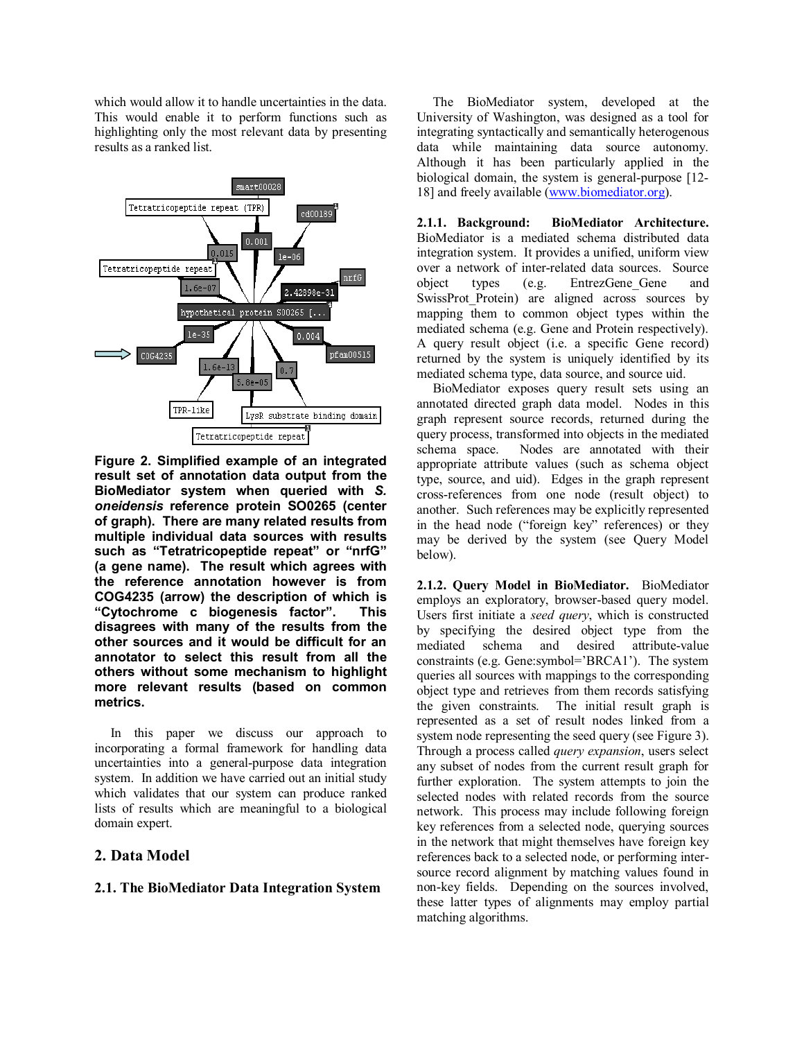which would allow it to handle uncertainties in the data. This would enable it to perform functions such as highlighting only the most relevant data by presenting results as a ranked list.



**Figure 2. Simplified example of an integrated result set of annotation data output from the BioMediator system when queried with** *S. oneidensis* **reference protein SO0265 (center of graph). There are many related results from multiple individual data sources with results such as "Tetratricopeptide repeat" or "nrfG" (a gene name). The result which agrees with the reference annotation however is from COG4235 (arrow) the description of which is "Cytochrome c biogenesis factor". This disagrees with many of the results from the other sources and it would be difficult for an annotator to select this result from all the others without some mechanism to highlight more relevant results (based on common metrics.** 

In this paper we discuss our approach to incorporating a formal framework for handling data uncertainties into a general-purpose data integration system. In addition we have carried out an initial study which validates that our system can produce ranked lists of results which are meaningful to a biological domain expert.

# **2. Data Model**

#### **2.1. The BioMediator Data Integration System**

The BioMediator system, developed at the University of Washington, was designed as a tool for integrating syntactically and semantically heterogenous data while maintaining data source autonomy. Although it has been particularly applied in the biological domain, the system is general-purpose [12- 18] and freely available (www.biomediator.org).

**2.1.1. Background: BioMediator Architecture.**  BioMediator is a mediated schema distributed data integration system. It provides a unified, uniform view over a network of inter-related data sources. Source object types (e.g. EntrezGene\_Gene and SwissProt Protein) are aligned across sources by mapping them to common object types within the mediated schema (e.g. Gene and Protein respectively). A query result object (i.e. a specific Gene record) returned by the system is uniquely identified by its mediated schema type, data source, and source uid.

BioMediator exposes query result sets using an annotated directed graph data model. Nodes in this graph represent source records, returned during the query process, transformed into objects in the mediated schema space. Nodes are annotated with their appropriate attribute values (such as schema object type, source, and uid). Edges in the graph represent cross-references from one node (result object) to another. Such references may be explicitly represented in the head node ("foreign key" references) or they may be derived by the system (see Query Model below).

**2.1.2. Query Model in BioMediator.** BioMediator employs an exploratory, browser-based query model. Users first initiate a *seed query*, which is constructed by specifying the desired object type from the mediated schema and desired attribute-value constraints (e.g. Gene:symbol='BRCA1'). The system queries all sources with mappings to the corresponding object type and retrieves from them records satisfying the given constraints. The initial result graph is represented as a set of result nodes linked from a system node representing the seed query (see Figure 3). Through a process called *query expansion*, users select any subset of nodes from the current result graph for further exploration. The system attempts to join the selected nodes with related records from the source network. This process may include following foreign key references from a selected node, querying sources in the network that might themselves have foreign key references back to a selected node, or performing intersource record alignment by matching values found in non-key fields. Depending on the sources involved, these latter types of alignments may employ partial matching algorithms.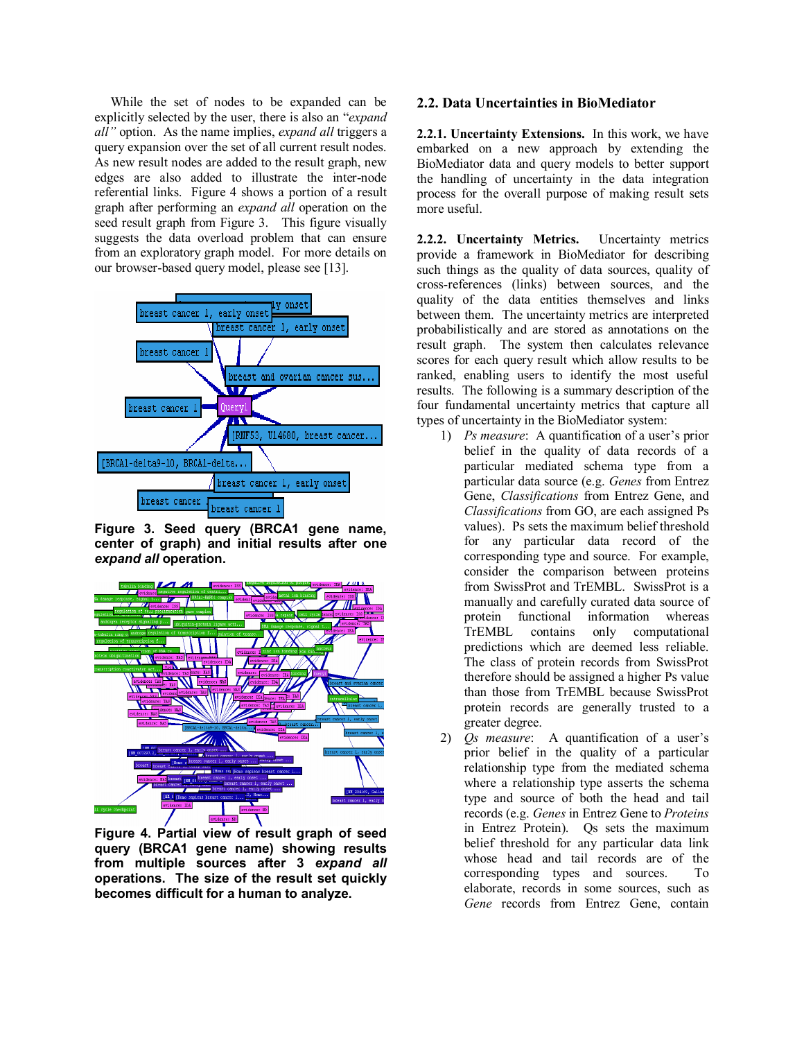While the set of nodes to be expanded can be explicitly selected by the user, there is also an "*expand all"* option. As the name implies, *expand all* triggers a query expansion over the set of all current result nodes. As new result nodes are added to the result graph, new edges are also added to illustrate the inter-node referential links. Figure 4 shows a portion of a result graph after performing an *expand all* operation on the seed result graph from Figure 3. This figure visually suggests the data overload problem that can ensure from an exploratory graph model. For more details on our browser-based query model, please see [13].



**Figure 3. Seed query (BRCA1 gene name, center of graph) and initial results after one**  *expand all* **operation.** 



**Figure 4. Partial view of result graph of seed query (BRCA1 gene name) showing results from multiple sources after 3** *expand all* **operations. The size of the result set quickly becomes difficult for a human to analyze.** 

#### **2.2. Data Uncertainties in BioMediator**

**2.2.1. Uncertainty Extensions.** In this work, we have embarked on a new approach by extending the BioMediator data and query models to better support the handling of uncertainty in the data integration process for the overall purpose of making result sets more useful.

**2.2.2. Uncertainty Metrics.** Uncertainty metrics provide a framework in BioMediator for describing such things as the quality of data sources, quality of cross-references (links) between sources, and the quality of the data entities themselves and links between them. The uncertainty metrics are interpreted probabilistically and are stored as annotations on the result graph. The system then calculates relevance scores for each query result which allow results to be ranked, enabling users to identify the most useful results. The following is a summary description of the four fundamental uncertainty metrics that capture all types of uncertainty in the BioMediator system:

- 1) *Ps measure*: A quantification of a user's prior belief in the quality of data records of a particular mediated schema type from a particular data source (e.g. *Genes* from Entrez Gene, *Classifications* from Entrez Gene, and *Classifications* from GO, are each assigned Ps values). Ps sets the maximum belief threshold for any particular data record of the corresponding type and source. For example, consider the comparison between proteins from SwissProt and TrEMBL. SwissProt is a manually and carefully curated data source of protein functional information whereas TrEMBL contains only computational predictions which are deemed less reliable. The class of protein records from SwissProt therefore should be assigned a higher Ps value than those from TrEMBL because SwissProt protein records are generally trusted to a greater degree.
- 2) *Qs measure*: A quantification of a user's prior belief in the quality of a particular relationship type from the mediated schema where a relationship type asserts the schema type and source of both the head and tail records (e.g. *Genes* in Entrez Gene to *Proteins* in Entrez Protein). Qs sets the maximum belief threshold for any particular data link whose head and tail records are of the corresponding types and sources. To elaborate, records in some sources, such as *Gene* records from Entrez Gene, contain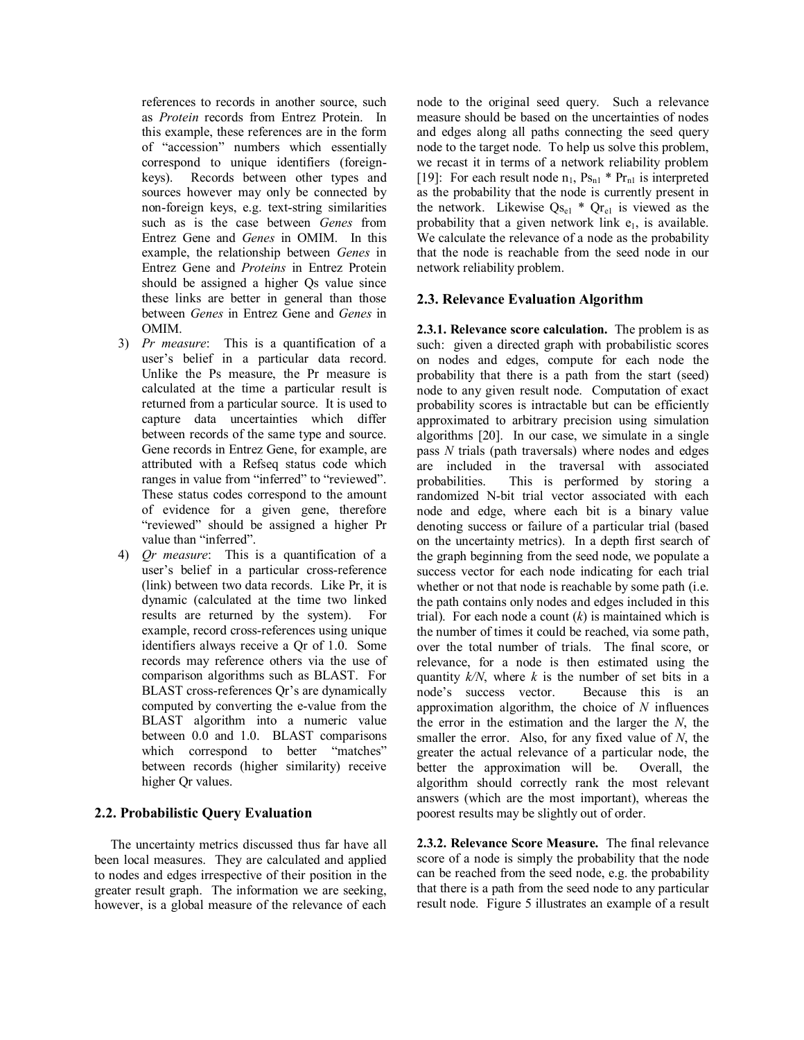references to records in another source, such as *Protein* records from Entrez Protein. In this example, these references are in the form of "accession" numbers which essentially correspond to unique identifiers (foreignkeys). Records between other types and sources however may only be connected by non-foreign keys, e.g. text-string similarities such as is the case between *Genes* from Entrez Gene and *Genes* in OMIM. In this example, the relationship between *Genes* in Entrez Gene and *Proteins* in Entrez Protein should be assigned a higher Qs value since these links are better in general than those between *Genes* in Entrez Gene and *Genes* in OMIM.

- 3) *Pr measure*: This is a quantification of a user's belief in a particular data record. Unlike the Ps measure, the Pr measure is calculated at the time a particular result is returned from a particular source. It is used to capture data uncertainties which differ between records of the same type and source. Gene records in Entrez Gene, for example, are attributed with a Refseq status code which ranges in value from "inferred" to "reviewed". These status codes correspond to the amount of evidence for a given gene, therefore "reviewed" should be assigned a higher Pr value than "inferred".
- 4) *Qr measure*: This is a quantification of a user's belief in a particular cross-reference (link) between two data records. Like Pr, it is dynamic (calculated at the time two linked results are returned by the system). For example, record cross-references using unique identifiers always receive a Qr of 1.0. Some records may reference others via the use of comparison algorithms such as BLAST. For BLAST cross-references Qr's are dynamically computed by converting the e-value from the BLAST algorithm into a numeric value between 0.0 and 1.0. BLAST comparisons which correspond to better "matches" between records (higher similarity) receive higher Qr values.

# **2.2. Probabilistic Query Evaluation**

The uncertainty metrics discussed thus far have all been local measures. They are calculated and applied to nodes and edges irrespective of their position in the greater result graph. The information we are seeking, however, is a global measure of the relevance of each

node to the original seed query. Such a relevance measure should be based on the uncertainties of nodes and edges along all paths connecting the seed query node to the target node. To help us solve this problem, we recast it in terms of a network reliability problem [19]: For each result node  $n_1$ ,  $Ps_{n1} * Pr_{n1}$  is interpreted as the probability that the node is currently present in the network. Likewise  $Q_{S_{el}}$  \*  $Q_{r_{el}}$  is viewed as the probability that a given network link  $e_1$ , is available. We calculate the relevance of a node as the probability that the node is reachable from the seed node in our network reliability problem.

## **2.3. Relevance Evaluation Algorithm**

**2.3.1. Relevance score calculation.** The problem is as such: given a directed graph with probabilistic scores on nodes and edges, compute for each node the probability that there is a path from the start (seed) node to any given result node. Computation of exact probability scores is intractable but can be efficiently approximated to arbitrary precision using simulation algorithms [20]. In our case, we simulate in a single pass *N* trials (path traversals) where nodes and edges are included in the traversal with associated probabilities. This is performed by storing a randomized N-bit trial vector associated with each node and edge, where each bit is a binary value denoting success or failure of a particular trial (based on the uncertainty metrics). In a depth first search of the graph beginning from the seed node, we populate a success vector for each node indicating for each trial whether or not that node is reachable by some path (i.e. the path contains only nodes and edges included in this trial). For each node a count (*k*) is maintained which is the number of times it could be reached, via some path, over the total number of trials. The final score, or relevance, for a node is then estimated using the quantity  $k/N$ , where  $k$  is the number of set bits in a node's success vector. Because this is an approximation algorithm, the choice of *N* influences the error in the estimation and the larger the *N*, the smaller the error. Also, for any fixed value of *N*, the greater the actual relevance of a particular node, the better the approximation will be. Overall, the algorithm should correctly rank the most relevant answers (which are the most important), whereas the poorest results may be slightly out of order.

**2.3.2. Relevance Score Measure.** The final relevance score of a node is simply the probability that the node can be reached from the seed node, e.g. the probability that there is a path from the seed node to any particular result node. Figure 5 illustrates an example of a result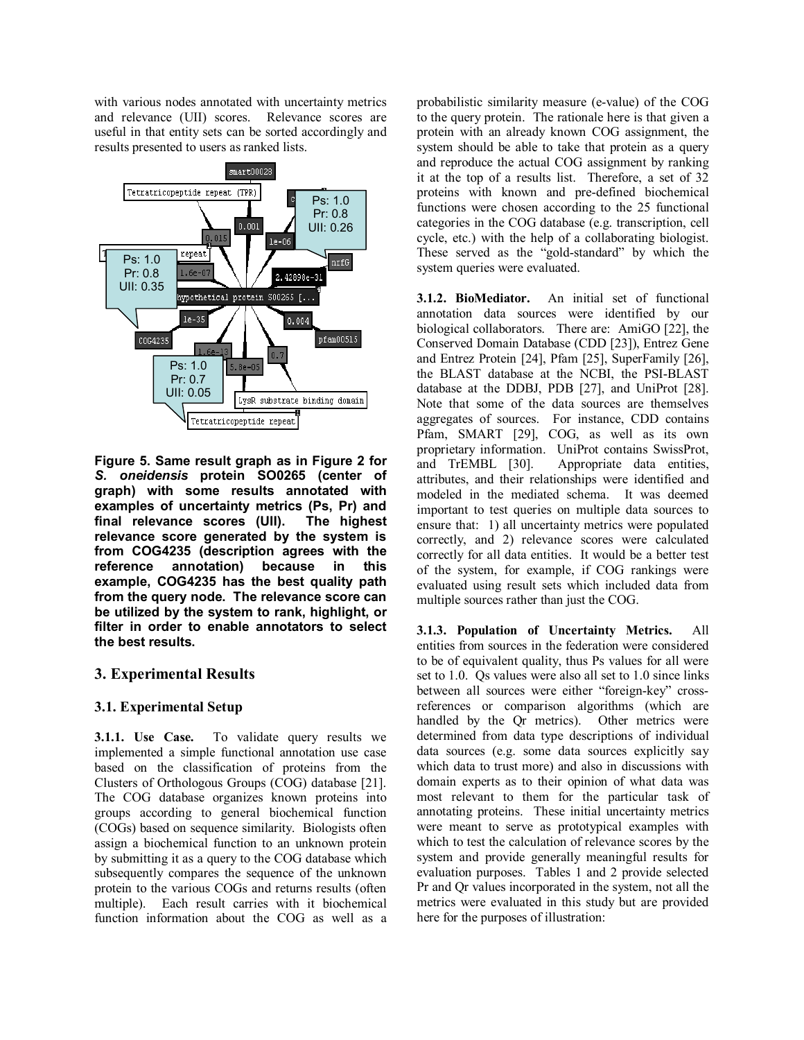with various nodes annotated with uncertainty metrics and relevance (UII) scores. Relevance scores are useful in that entity sets can be sorted accordingly and results presented to users as ranked lists.



**Figure 5. Same result graph as in Figure 2 for**  *S. oneidensis* **protein SO0265 (center of graph) with some results annotated with examples of uncertainty metrics (Ps, Pr) and final relevance scores (UII). The highest relevance score generated by the system is from COG4235 (description agrees with the reference annotation) because in this example, COG4235 has the best quality path from the query node. The relevance score can be utilized by the system to rank, highlight, or filter in order to enable annotators to select the best results.** 

# **3. Experimental Results**

# **3.1. Experimental Setup**

**3.1.1. Use Case.** To validate query results we implemented a simple functional annotation use case based on the classification of proteins from the Clusters of Orthologous Groups (COG) database [21]. The COG database organizes known proteins into groups according to general biochemical function (COGs) based on sequence similarity. Biologists often assign a biochemical function to an unknown protein by submitting it as a query to the COG database which subsequently compares the sequence of the unknown protein to the various COGs and returns results (often multiple). Each result carries with it biochemical function information about the COG as well as a probabilistic similarity measure (e-value) of the COG to the query protein. The rationale here is that given a protein with an already known COG assignment, the system should be able to take that protein as a query and reproduce the actual COG assignment by ranking it at the top of a results list. Therefore, a set of 32 proteins with known and pre-defined biochemical functions were chosen according to the 25 functional categories in the COG database (e.g. transcription, cell cycle, etc.) with the help of a collaborating biologist. These served as the "gold-standard" by which the system queries were evaluated.

**3.1.2. BioMediator.** An initial set of functional annotation data sources were identified by our biological collaborators. There are: AmiGO [22], the Conserved Domain Database (CDD [23]), Entrez Gene and Entrez Protein [24], Pfam [25], SuperFamily [26], the BLAST database at the NCBI, the PSI-BLAST database at the DDBJ, PDB [27], and UniProt [28]. Note that some of the data sources are themselves aggregates of sources. For instance, CDD contains Pfam, SMART [29], COG, as well as its own proprietary information. UniProt contains SwissProt, and TrEMBL [30]. Appropriate data entities, attributes, and their relationships were identified and modeled in the mediated schema. It was deemed important to test queries on multiple data sources to ensure that: 1) all uncertainty metrics were populated correctly, and 2) relevance scores were calculated correctly for all data entities. It would be a better test of the system, for example, if COG rankings were evaluated using result sets which included data from multiple sources rather than just the COG.

**3.1.3. Population of Uncertainty Metrics.** All entities from sources in the federation were considered to be of equivalent quality, thus Ps values for all were set to 1.0. Qs values were also all set to 1.0 since links between all sources were either "foreign-key" crossreferences or comparison algorithms (which are handled by the Qr metrics). Other metrics were determined from data type descriptions of individual data sources (e.g. some data sources explicitly say which data to trust more) and also in discussions with domain experts as to their opinion of what data was most relevant to them for the particular task of annotating proteins. These initial uncertainty metrics were meant to serve as prototypical examples with which to test the calculation of relevance scores by the system and provide generally meaningful results for evaluation purposes. Tables 1 and 2 provide selected Pr and Qr values incorporated in the system, not all the metrics were evaluated in this study but are provided here for the purposes of illustration: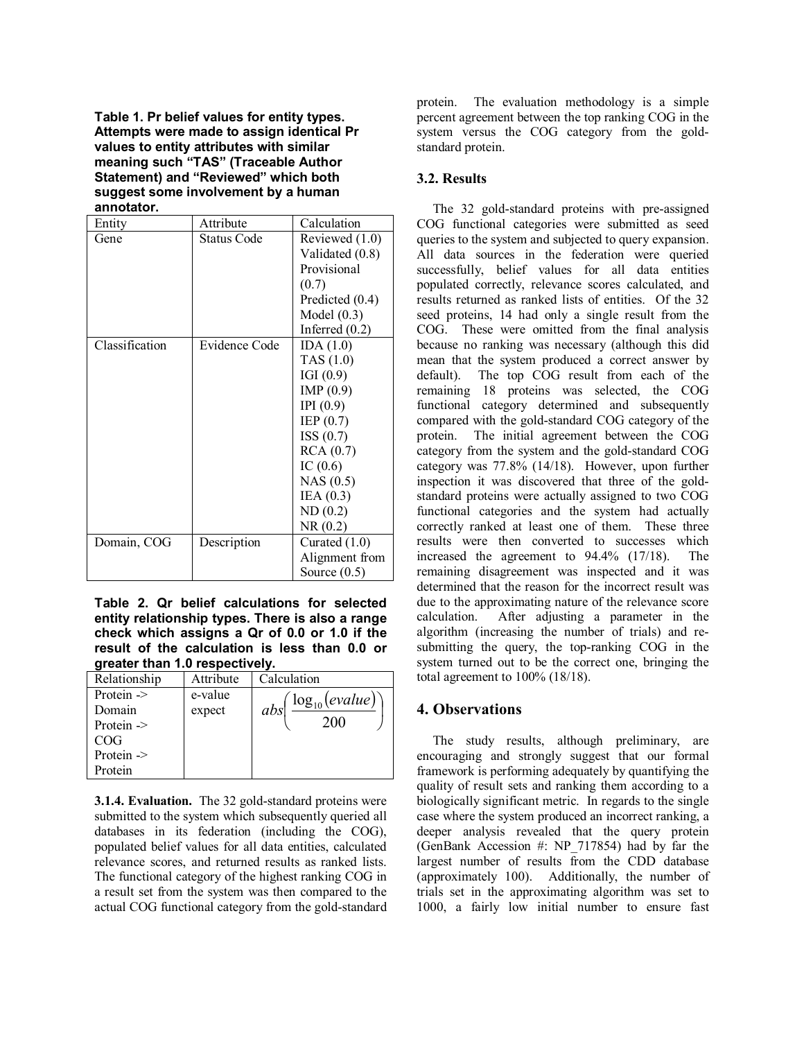**Table 1. Pr belief values for entity types. Attempts were made to assign identical Pr values to entity attributes with similar meaning such "TAS" (Traceable Author Statement) and "Reviewed" which both suggest some involvement by a human annotator.** 

| Entity         | Attribute            | Calculation      |
|----------------|----------------------|------------------|
| Gene           | <b>Status Code</b>   | Reviewed $(1.0)$ |
|                |                      | Validated (0.8)  |
|                |                      | Provisional      |
|                |                      | (0.7)            |
|                |                      | Predicted (0.4)  |
|                |                      | Model $(0.3)$    |
|                |                      | Inferred $(0.2)$ |
| Classification | <b>Evidence Code</b> | IDA $(1.0)$      |
|                |                      | TAS $(1.0)$      |
|                |                      | IGI(0.9)         |
|                |                      | IMP $(0.9)$      |
|                |                      | IPI(0.9)         |
|                |                      | IEP $(0.7)$      |
|                |                      | ISS(0.7)         |
|                |                      | RCA(0.7)         |
|                |                      | IC $(0.6)$       |
|                |                      | NAS(0.5)         |
|                |                      | IEA $(0.3)$      |
|                |                      | ND(0.2)          |
|                |                      | NR(0.2)          |
| Domain, COG    | Description          | Curated $(1.0)$  |
|                |                      | Alignment from   |
|                |                      | Source $(0.5)$   |

**Table 2. Qr belief calculations for selected entity relationship types. There is also a range check which assigns a Qr of 0.0 or 1.0 if the result of the calculation is less than 0.0 or greater than 1.0 respectively.**

| Relationship          | Attribute | Calculation                     |  |
|-----------------------|-----------|---------------------------------|--|
| Protein ->            | e-value   | $\big(\log_{10}(evaluate)\big)$ |  |
| Domain                | expect    | abs <sup>1</sup>                |  |
| Protein $\rightarrow$ |           | <b>200</b>                      |  |
| COG                   |           |                                 |  |
| Protein ->            |           |                                 |  |
| Protein               |           |                                 |  |

**3.1.4. Evaluation.** The 32 gold-standard proteins were submitted to the system which subsequently queried all databases in its federation (including the COG), populated belief values for all data entities, calculated relevance scores, and returned results as ranked lists. The functional category of the highest ranking COG in a result set from the system was then compared to the actual COG functional category from the gold-standard

protein. The evaluation methodology is a simple percent agreement between the top ranking COG in the system versus the COG category from the goldstandard protein.

## **3.2. Results**

The 32 gold-standard proteins with pre-assigned COG functional categories were submitted as seed queries to the system and subjected to query expansion. All data sources in the federation were queried successfully, belief values for all data entities populated correctly, relevance scores calculated, and results returned as ranked lists of entities. Of the 32 seed proteins, 14 had only a single result from the COG. These were omitted from the final analysis because no ranking was necessary (although this did mean that the system produced a correct answer by default). The top COG result from each of the remaining 18 proteins was selected, the COG functional category determined and subsequently compared with the gold-standard COG category of the protein. The initial agreement between the COG category from the system and the gold-standard COG category was 77.8% (14/18). However, upon further inspection it was discovered that three of the goldstandard proteins were actually assigned to two COG functional categories and the system had actually correctly ranked at least one of them. These three results were then converted to successes which increased the agreement to 94.4% (17/18). The remaining disagreement was inspected and it was determined that the reason for the incorrect result was due to the approximating nature of the relevance score calculation. After adjusting a parameter in the algorithm (increasing the number of trials) and resubmitting the query, the top-ranking COG in the system turned out to be the correct one, bringing the total agreement to 100% (18/18).

# **4. Observations**

The study results, although preliminary, are encouraging and strongly suggest that our formal framework is performing adequately by quantifying the quality of result sets and ranking them according to a biologically significant metric. In regards to the single case where the system produced an incorrect ranking, a deeper analysis revealed that the query protein (GenBank Accession #: NP\_717854) had by far the largest number of results from the CDD database (approximately 100). Additionally, the number of trials set in the approximating algorithm was set to 1000, a fairly low initial number to ensure fast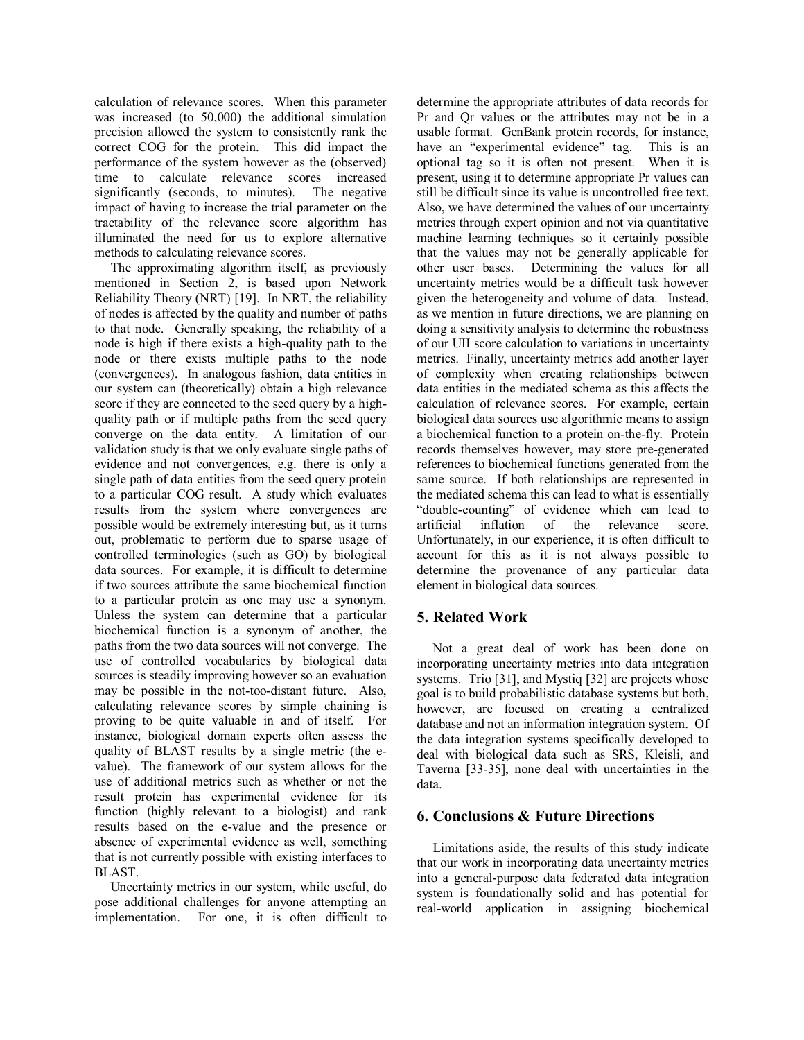calculation of relevance scores. When this parameter was increased (to 50,000) the additional simulation precision allowed the system to consistently rank the correct COG for the protein. This did impact the performance of the system however as the (observed) time to calculate relevance scores increased significantly (seconds, to minutes). The negative impact of having to increase the trial parameter on the tractability of the relevance score algorithm has illuminated the need for us to explore alternative methods to calculating relevance scores.

The approximating algorithm itself, as previously mentioned in Section 2, is based upon Network Reliability Theory (NRT) [19]. In NRT, the reliability of nodes is affected by the quality and number of paths to that node. Generally speaking, the reliability of a node is high if there exists a high-quality path to the node or there exists multiple paths to the node (convergences). In analogous fashion, data entities in our system can (theoretically) obtain a high relevance score if they are connected to the seed query by a highquality path or if multiple paths from the seed query converge on the data entity. A limitation of our validation study is that we only evaluate single paths of evidence and not convergences, e.g. there is only a single path of data entities from the seed query protein to a particular COG result. A study which evaluates results from the system where convergences are possible would be extremely interesting but, as it turns out, problematic to perform due to sparse usage of controlled terminologies (such as GO) by biological data sources. For example, it is difficult to determine if two sources attribute the same biochemical function to a particular protein as one may use a synonym. Unless the system can determine that a particular biochemical function is a synonym of another, the paths from the two data sources will not converge. The use of controlled vocabularies by biological data sources is steadily improving however so an evaluation may be possible in the not-too-distant future. Also, calculating relevance scores by simple chaining is proving to be quite valuable in and of itself. For instance, biological domain experts often assess the quality of BLAST results by a single metric (the evalue). The framework of our system allows for the use of additional metrics such as whether or not the result protein has experimental evidence for its function (highly relevant to a biologist) and rank results based on the e-value and the presence or absence of experimental evidence as well, something that is not currently possible with existing interfaces to BLAST.

Uncertainty metrics in our system, while useful, do pose additional challenges for anyone attempting an implementation. For one, it is often difficult to

determine the appropriate attributes of data records for Pr and Qr values or the attributes may not be in a usable format. GenBank protein records, for instance, have an "experimental evidence" tag. This is an optional tag so it is often not present. When it is present, using it to determine appropriate Pr values can still be difficult since its value is uncontrolled free text. Also, we have determined the values of our uncertainty metrics through expert opinion and not via quantitative machine learning techniques so it certainly possible that the values may not be generally applicable for other user bases. Determining the values for all uncertainty metrics would be a difficult task however given the heterogeneity and volume of data. Instead, as we mention in future directions, we are planning on doing a sensitivity analysis to determine the robustness of our UII score calculation to variations in uncertainty metrics. Finally, uncertainty metrics add another layer of complexity when creating relationships between data entities in the mediated schema as this affects the calculation of relevance scores. For example, certain biological data sources use algorithmic means to assign a biochemical function to a protein on-the-fly. Protein records themselves however, may store pre-generated references to biochemical functions generated from the same source. If both relationships are represented in the mediated schema this can lead to what is essentially "double-counting" of evidence which can lead to artificial inflation of the relevance score. Unfortunately, in our experience, it is often difficult to account for this as it is not always possible to determine the provenance of any particular data element in biological data sources.

# **5. Related Work**

Not a great deal of work has been done on incorporating uncertainty metrics into data integration systems. Trio [31], and Mystiq [32] are projects whose goal is to build probabilistic database systems but both, however, are focused on creating a centralized database and not an information integration system. Of the data integration systems specifically developed to deal with biological data such as SRS, Kleisli, and Taverna [33-35], none deal with uncertainties in the data.

# **6. Conclusions & Future Directions**

Limitations aside, the results of this study indicate that our work in incorporating data uncertainty metrics into a general-purpose data federated data integration system is foundationally solid and has potential for real-world application in assigning biochemical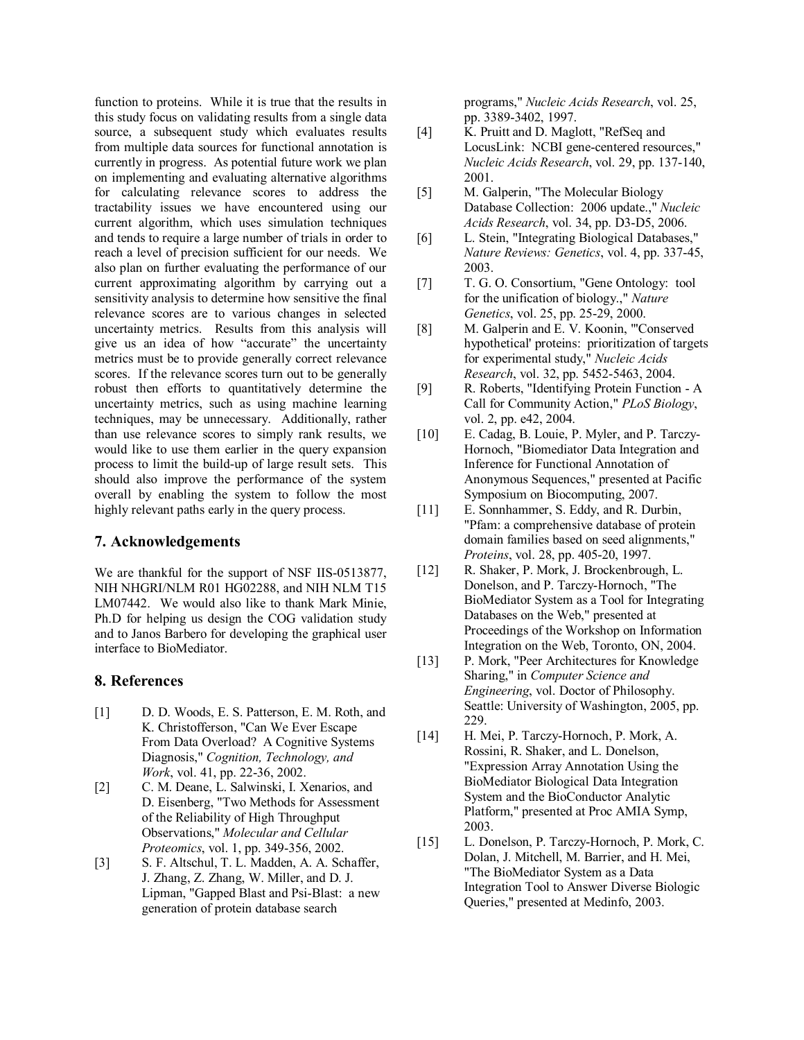function to proteins. While it is true that the results in this study focus on validating results from a single data source, a subsequent study which evaluates results from multiple data sources for functional annotation is currently in progress. As potential future work we plan on implementing and evaluating alternative algorithms for calculating relevance scores to address the tractability issues we have encountered using our current algorithm, which uses simulation techniques and tends to require a large number of trials in order to reach a level of precision sufficient for our needs. We also plan on further evaluating the performance of our current approximating algorithm by carrying out a sensitivity analysis to determine how sensitive the final relevance scores are to various changes in selected uncertainty metrics. Results from this analysis will give us an idea of how "accurate" the uncertainty metrics must be to provide generally correct relevance scores. If the relevance scores turn out to be generally robust then efforts to quantitatively determine the uncertainty metrics, such as using machine learning techniques, may be unnecessary. Additionally, rather than use relevance scores to simply rank results, we would like to use them earlier in the query expansion process to limit the build-up of large result sets. This should also improve the performance of the system overall by enabling the system to follow the most highly relevant paths early in the query process.

## **7. Acknowledgements**

We are thankful for the support of NSF IIS-0513877, NIH NHGRI/NLM R01 HG02288, and NIH NLM T15 LM07442. We would also like to thank Mark Minie, Ph.D for helping us design the COG validation study and to Janos Barbero for developing the graphical user interface to BioMediator.

#### **8. References**

- [1] D. D. Woods, E. S. Patterson, E. M. Roth, and K. Christofferson, "Can We Ever Escape From Data Overload? A Cognitive Systems Diagnosis," *Cognition, Technology, and Work*, vol. 41, pp. 22-36, 2002.
- [2] C. M. Deane, L. Salwinski, I. Xenarios, and D. Eisenberg, "Two Methods for Assessment of the Reliability of High Throughput Observations," *Molecular and Cellular Proteomics*, vol. 1, pp. 349-356, 2002.
- [3] S. F. Altschul, T. L. Madden, A. A. Schaffer, J. Zhang, Z. Zhang, W. Miller, and D. J. Lipman, "Gapped Blast and Psi-Blast: a new generation of protein database search

programs," *Nucleic Acids Research*, vol. 25, pp. 3389-3402, 1997.

- [4] K. Pruitt and D. Maglott, "RefSeq and LocusLink: NCBI gene-centered resources," *Nucleic Acids Research*, vol. 29, pp. 137-140, 2001.
- [5] M. Galperin, "The Molecular Biology Database Collection: 2006 update.," *Nucleic Acids Research*, vol. 34, pp. D3-D5, 2006.
- [6] L. Stein, "Integrating Biological Databases," *Nature Reviews: Genetics*, vol. 4, pp. 337-45, 2003.
- [7] T. G. O. Consortium, "Gene Ontology: tool for the unification of biology.," *Nature Genetics*, vol. 25, pp. 25-29, 2000.
- [8] M. Galperin and E. V. Koonin, "Conserved hypothetical' proteins: prioritization of targets for experimental study," *Nucleic Acids Research*, vol. 32, pp. 5452-5463, 2004.
- [9] R. Roberts, "Identifying Protein Function A Call for Community Action," *PLoS Biology*, vol. 2, pp. e42, 2004.
- [10] E. Cadag, B. Louie, P. Myler, and P. Tarczy-Hornoch, "Biomediator Data Integration and Inference for Functional Annotation of Anonymous Sequences," presented at Pacific Symposium on Biocomputing, 2007.
- [11] E. Sonnhammer, S. Eddy, and R. Durbin, "Pfam: a comprehensive database of protein domain families based on seed alignments," *Proteins*, vol. 28, pp. 405-20, 1997.
- [12] R. Shaker, P. Mork, J. Brockenbrough, L. Donelson, and P. Tarczy-Hornoch, "The BioMediator System as a Tool for Integrating Databases on the Web," presented at Proceedings of the Workshop on Information Integration on the Web, Toronto, ON, 2004.
- [13] P. Mork, "Peer Architectures for Knowledge Sharing," in *Computer Science and Engineering*, vol. Doctor of Philosophy. Seattle: University of Washington, 2005, pp. 229.
- [14] H. Mei, P. Tarczy-Hornoch, P. Mork, A. Rossini, R. Shaker, and L. Donelson, "Expression Array Annotation Using the BioMediator Biological Data Integration System and the BioConductor Analytic Platform," presented at Proc AMIA Symp, 2003.
- [15] L. Donelson, P. Tarczy-Hornoch, P. Mork, C. Dolan, J. Mitchell, M. Barrier, and H. Mei, "The BioMediator System as a Data Integration Tool to Answer Diverse Biologic Queries," presented at Medinfo, 2003.